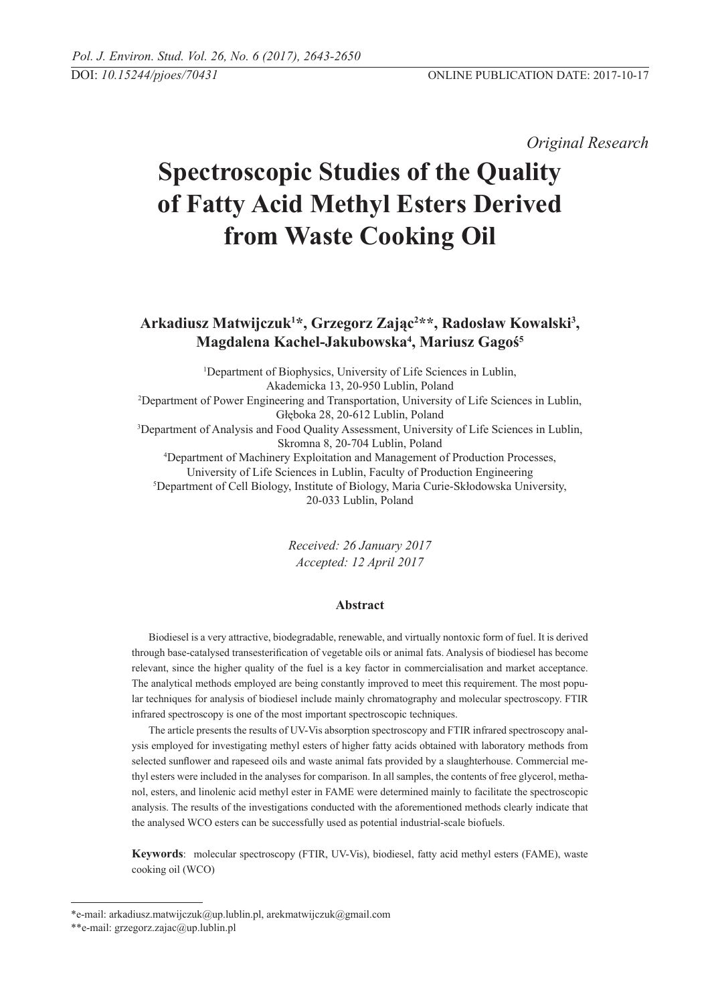*Original Research* 

# **Spectroscopic Studies of the Quality of Fatty Acid Methyl Esters Derived from Waste Cooking Oil**

## **Arkadiusz Matwijczuk1 \*, Grzegorz Zając2 \*\*, Radosław Kowalski3 , Magdalena Kachel-Jakubowska4 , Mariusz Gagoś5**

1 Department of Biophysics, University of Life Sciences in Lublin, Akademicka 13, 20-950 Lublin, Poland<br><sup>2</sup>Department of Power Engineering and Transportation, University of Life Sciences in Lublin, Głęboka 28, 20-612 Lublin, Poland 3 Department of Analysis and Food Quality Assessment, University of Life Sciences in Lublin, Skromna 8, 20-704 Lublin, Poland 4 Department of Machinery Exploitation and Management of Production Processes, University of Life Sciences in Lublin, Faculty of Production Engineering 5 Department of Cell Biology, Institute of Biology, Maria Curie-Skłodowska University, 20-033 Lublin, Poland

> *Received: 26 January 2017 Accepted: 12 April 2017*

### **Abstract**

Biodiesel is a very attractive, biodegradable, renewable, and virtually nontoxic form of fuel. It is derived through base-catalysed transesterification of vegetable oils or animal fats. Analysis of biodiesel has become relevant, since the higher quality of the fuel is a key factor in commercialisation and market acceptance. The analytical methods employed are being constantly improved to meet this requirement. The most popular techniques for analysis of biodiesel include mainly chromatography and molecular spectroscopy. FTIR infrared spectroscopy is one of the most important spectroscopic techniques.

The article presents the results of UV-Vis absorption spectroscopy and FTIR infrared spectroscopy analysis employed for investigating methyl esters of higher fatty acids obtained with laboratory methods from selected sunflower and rapeseed oils and waste animal fats provided by a slaughterhouse. Commercial methyl esters were included in the analyses for comparison. In all samples, the contents of free glycerol, methanol, esters, and linolenic acid methyl ester in FAME were determined mainly to facilitate the spectroscopic analysis. The results of the investigations conducted with the aforementioned methods clearly indicate that the analysed WCO esters can be successfully used as potential industrial-scale biofuels.

**Keywords**: molecular spectroscopy (FTIR, UV-Vis), biodiesel, fatty acid methyl esters (FAME), waste cooking oil (WCO)

<sup>\*</sup>e-mail: arkadiusz.matwijczuk@up.lublin.pl, arekmatwijczuk@gmail.com

<sup>\*\*</sup>e-mail: grzegorz.zajac@up.lublin.pl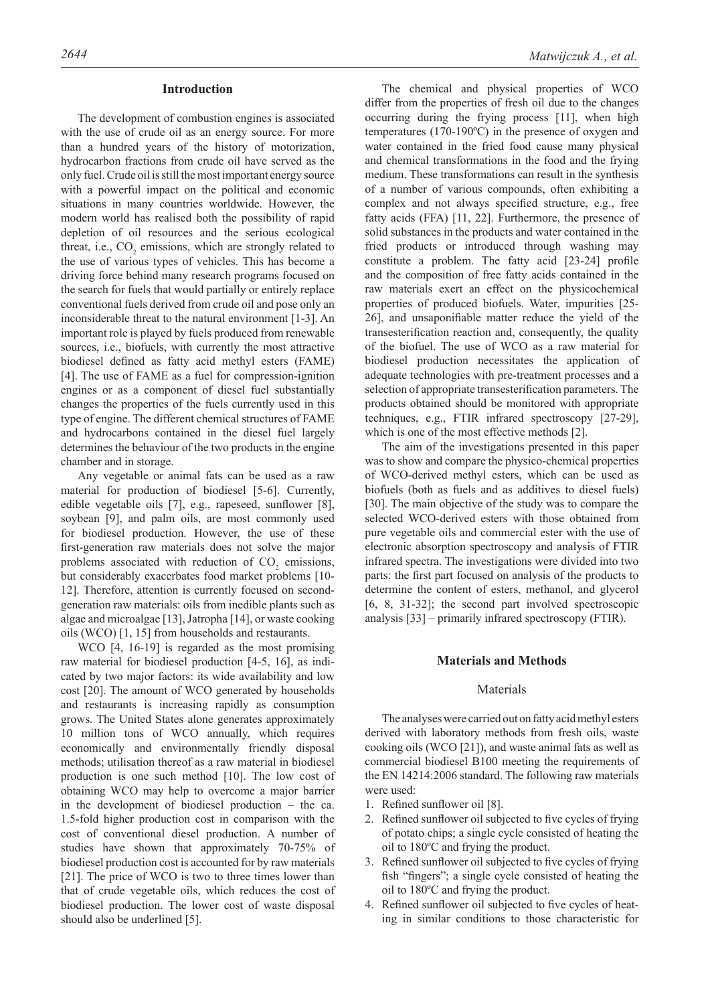#### **Introduction**

The development of combustion engines is associated with the use of crude oil as an energy source. For more than a hundred years of the history of motorization, hydrocarbon fractions from crude oil have served as the only fuel. Crude oil is still the most important energy source with a powerful impact on the political and economic situations in many countries worldwide. However, the modern world has realised both the possibility of rapid depletion of oil resources and the serious ecological threat, i.e.,  $CO_2$  emissions, which are strongly related to the use of various types of vehicles. This has become a driving force behind many research programs focused on the search for fuels that would partially or entirely replace conventional fuels derived from crude oil and pose only an inconsiderable threat to the natural environment [1-3]. An important role is played by fuels produced from renewable sources, i.e., biofuels, with currently the most attractive biodiesel defined as fatty acid methyl esters (FAME) [4]. The use of FAME as a fuel for compression-ignition engines or as a component of diesel fuel substantially changes the properties of the fuels currently used in this type of engine. The different chemical structures of FAME and hydrocarbons contained in the diesel fuel largely determines the behaviour of the two products in the engine chamber and in storage.

Any vegetable or animal fats can be used as a raw material for production of biodiesel [5-6]. Currently, edible vegetable oils [7], e.g., rapeseed, sunflower [8], soybean [9], and palm oils, are most commonly used for biodiesel production. However, the use of these first-generation raw materials does not solve the major problems associated with reduction of  $CO_2$  emissions, but considerably exacerbates food market problems [10- 12]. Therefore, attention is currently focused on secondgeneration raw materials: oils from inedible plants such as algae and microalgae [13], Jatropha [14], or waste cooking oils (WCO) [1, 15] from households and restaurants.

WCO [4, 16-19] is regarded as the most promising raw material for biodiesel production [4-5, 16], as indicated by two major factors: its wide availability and low cost [20]. The amount of WCO generated by households and restaurants is increasing rapidly as consumption grows. The United States alone generates approximately 10 million tons of WCO annually, which requires economically and environmentally friendly disposal methods; utilisation thereof as a raw material in biodiesel production is one such method [10]. The low cost of obtaining WCO may help to overcome a major barrier in the development of biodiesel production – the ca. 1.5-fold higher production cost in comparison with the cost of conventional diesel production. A number of studies have shown that approximately 70-75% of biodiesel production cost is accounted for by raw materials [21]. The price of WCO is two to three times lower than that of crude vegetable oils, which reduces the cost of biodiesel production. The lower cost of waste disposal should also be underlined [5].

The chemical and physical properties of WCO differ from the properties of fresh oil due to the changes occurring during the frying process [11], when high temperatures (170-190ºC) in the presence of oxygen and water contained in the fried food cause many physical and chemical transformations in the food and the frying medium. These transformations can result in the synthesis of a number of various compounds, often exhibiting a complex and not always specified structure, e.g., free fatty acids (FFA) [11, 22]. Furthermore, the presence of solid substances in the products and water contained in the fried products or introduced through washing may constitute a problem. The fatty acid [23-24] profile and the composition of free fatty acids contained in the raw materials exert an effect on the physicochemical properties of produced biofuels. Water, impurities [25- 26], and unsaponifiable matter reduce the yield of the transesterification reaction and, consequently, the quality of the biofuel. The use of WCO as a raw material for biodiesel production necessitates the application of adequate technologies with pre-treatment processes and a selection of appropriate transesterification parameters. The products obtained should be monitored with appropriate techniques, e.g., FTIR infrared spectroscopy [27-29], which is one of the most effective methods [2].

The aim of the investigations presented in this paper was to show and compare the physico-chemical properties of WCO-derived methyl esters, which can be used as biofuels (both as fuels and as additives to diesel fuels) [30]. The main objective of the study was to compare the selected WCO-derived esters with those obtained from pure vegetable oils and commercial ester with the use of electronic absorption spectroscopy and analysis of FTIR infrared spectra. The investigations were divided into two parts: the first part focused on analysis of the products to determine the content of esters, methanol, and glycerol [6, 8, 31-32]; the second part involved spectroscopic analysis [33] – primarily infrared spectroscopy (FTIR).

#### **Materials and Methods**

#### Materials

The analyses were carried out on fatty acid methyl esters derived with laboratory methods from fresh oils, waste cooking oils (WCO [21]), and waste animal fats as well as commercial biodiesel B100 meeting the requirements of the EN 14214:2006 standard. The following raw materials were used:

- 1. Refined sunflower oil [8].
- 2. Refined sunflower oil subjected to five cycles of frying of potato chips; a single cycle consisted of heating the oil to 180ºC and frying the product.
- 3. Refined sunflower oil subjected to five cycles of frying fish "fingers"; a single cycle consisted of heating the oil to 180ºC and frying the product.
- 4. Refined sunflower oil subjected to five cycles of heating in similar conditions to those characteristic for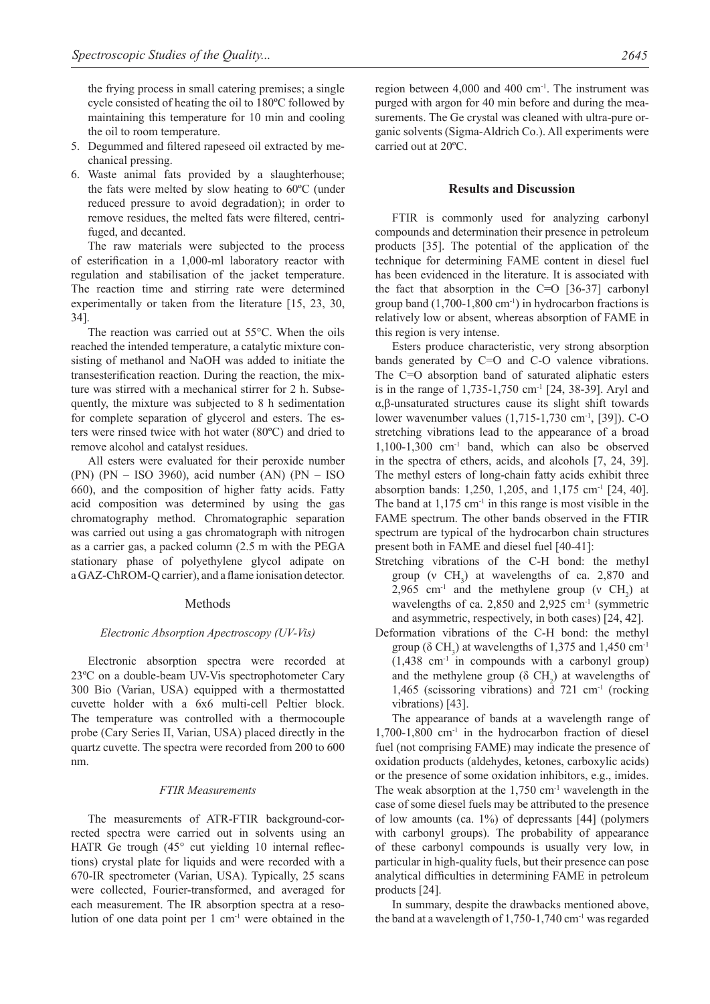the frying process in small catering premises; a single cycle consisted of heating the oil to 180ºC followed by maintaining this temperature for 10 min and cooling the oil to room temperature.

- 5. Degummed and filtered rapeseed oil extracted by mechanical pressing.
- 6. Waste animal fats provided by a slaughterhouse; the fats were melted by slow heating to 60ºC (under reduced pressure to avoid degradation); in order to remove residues, the melted fats were filtered, centrifuged, and decanted.

The raw materials were subjected to the process of esterification in a 1,000-ml laboratory reactor with regulation and stabilisation of the jacket temperature. The reaction time and stirring rate were determined experimentally or taken from the literature [15, 23, 30, 34].

The reaction was carried out at 55°C. When the oils reached the intended temperature, a catalytic mixture consisting of methanol and NaOH was added to initiate the transesterification reaction. During the reaction, the mixture was stirred with a mechanical stirrer for 2 h. Subsequently, the mixture was subjected to 8 h sedimentation for complete separation of glycerol and esters. The esters were rinsed twice with hot water (80ºC) and dried to remove alcohol and catalyst residues.

All esters were evaluated for their peroxide number (PN) (PN – ISO 3960), acid number (AN) (PN – ISO 660), and the composition of higher fatty acids. Fatty acid composition was determined by using the gas chromatography method. Chromatographic separation was carried out using a gas chromatograph with nitrogen as a carrier gas, a packed column (2.5 m with the PEGA stationary phase of polyethylene glycol adipate on a GAZ-ChROM-Q carrier), and a flame ionisation detector.

#### Methods

#### *Electronic Absorption Apectroscopy (UV-Vis)*

Electronic absorption spectra were recorded at 23ºC on a double-beam UV-Vis spectrophotometer Cary 300 Bio (Varian, USA) equipped with a thermostatted cuvette holder with a 6x6 multi-cell Peltier block. The temperature was controlled with a thermocouple probe (Cary Series II, Varian, USA) placed directly in the quartz cuvette. The spectra were recorded from 200 to 600 nm.

#### *FTIR Measurements*

The measurements of ATR-FTIR background-corrected spectra were carried out in solvents using an HATR Ge trough (45° cut yielding 10 internal reflections) crystal plate for liquids and were recorded with a 670-IR spectrometer (Varian, USA). Typically, 25 scans were collected, Fourier-transformed, and averaged for each measurement. The IR absorption spectra at a resolution of one data point per  $1 \text{ cm}^{-1}$  were obtained in the region between 4,000 and 400 cm<sup>-1</sup>. The instrument was purged with argon for 40 min before and during the measurements. The Ge crystal was cleaned with ultra-pure organic solvents (Sigma-Aldrich Co.). All experiments were carried out at 20ºC.

#### **Results and Discussion**

FTIR is commonly used for analyzing carbonyl compounds and determination their presence in petroleum products [35]. The potential of the application of the technique for determining FAME content in diesel fuel has been evidenced in the literature. It is associated with the fact that absorption in the C=O [36-37] carbonyl group band  $(1,700-1,800 \text{ cm}^{-1})$  in hydrocarbon fractions is relatively low or absent, whereas absorption of FAME in this region is very intense.

Esters produce characteristic, very strong absorption bands generated by C=O and C-O valence vibrations. The C=O absorption band of saturated aliphatic esters is in the range of 1,735-1,750 cm-1 [24, 38-39]. Aryl and α,β-unsaturated structures cause its slight shift towards lower wavenumber values (1,715-1,730 cm-1, [39]). C-O stretching vibrations lead to the appearance of a broad 1,100-1,300 cm-1 band, which can also be observed in the spectra of ethers, acids, and alcohols [7, 24, 39]. The methyl esters of long-chain fatty acids exhibit three absorption bands: 1,250, 1,205, and 1,175 cm-1 [24, 40]. The band at  $1.175$  cm<sup>-1</sup> in this range is most visible in the FAME spectrum. The other bands observed in the FTIR spectrum are typical of the hydrocarbon chain structures present both in FAME and diesel fuel [40-41]:

- Stretching vibrations of the C-H bond: the methyl group (v  $CH_3$ ) at wavelengths of ca. 2,870 and 2,965 cm<sup>-1</sup> and the methylene group (v  $CH_2$ ) at wavelengths of ca. 2,850 and 2,925 cm<sup>-1</sup> (symmetric and asymmetric, respectively, in both cases) [24, 42].
- Deformation vibrations of the C-H bond: the methyl group ( $\delta$  CH<sub>3</sub>) at wavelengths of 1,375 and 1,450 cm<sup>-1</sup>  $(1,438$  cm<sup>-1</sup> in compounds with a carbonyl group) and the methylene group ( $\delta$  CH<sub>2</sub>) at wavelengths of 1,465 (scissoring vibrations) and 721 cm-1 (rocking vibrations) [43].

The appearance of bands at a wavelength range of  $1,700-1,800$  cm<sup>-1</sup> in the hydrocarbon fraction of diesel fuel (not comprising FAME) may indicate the presence of oxidation products (aldehydes, ketones, carboxylic acids) or the presence of some oxidation inhibitors, e.g., imides. The weak absorption at the  $1,750$  cm<sup>-1</sup> wavelength in the case of some diesel fuels may be attributed to the presence of low amounts (ca. 1%) of depressants [44] (polymers with carbonyl groups). The probability of appearance of these carbonyl compounds is usually very low, in particular in high-quality fuels, but their presence can pose analytical difficulties in determining FAME in petroleum products [24].

In summary, despite the drawbacks mentioned above, the band at a wavelength of  $1,750-1,740$  cm<sup>-1</sup> was regarded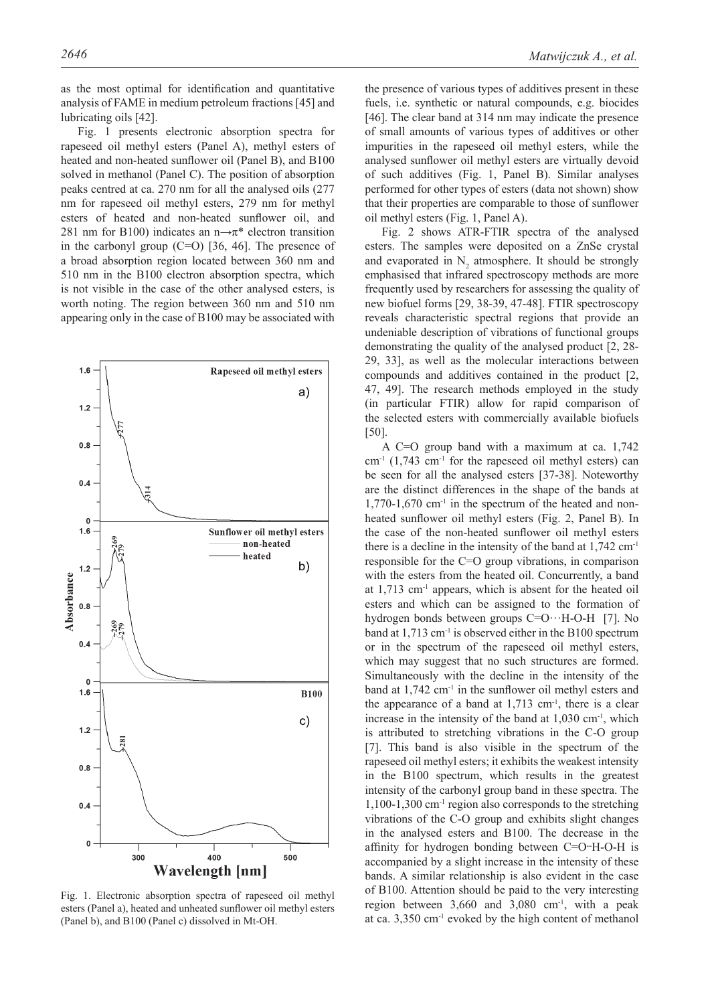as the most optimal for identification and quantitative analysis of FAME in medium petroleum fractions [45] and lubricating oils [42].

Fig. 1 presents electronic absorption spectra for rapeseed oil methyl esters (Panel A), methyl esters of heated and non-heated sunflower oil (Panel B), and B100 solved in methanol (Panel C). The position of absorption peaks centred at ca. 270 nm for all the analysed oils (277 nm for rapeseed oil methyl esters, 279 nm for methyl esters of heated and non-heated sunflower oil, and 281 nm for B100) indicates an n $\rightarrow \pi^*$  electron transition in the carbonyl group (C=O) [36, 46]. The presence of a broad absorption region located between 360 nm and 510 nm in the B100 electron absorption spectra, which is not visible in the case of the other analysed esters, is worth noting. The region between 360 nm and 510 nm appearing only in the case of B100 may be associated with



Fig. 1. Electronic absorption spectra of rapeseed oil methyl esters (Panel a), heated and unheated sunflower oil methyl esters (Panel b), and B100 (Panel c) dissolved in Mt-OH.

the presence of various types of additives present in these fuels, i.e. synthetic or natural compounds, e.g. biocides [46]. The clear band at 314 nm may indicate the presence of small amounts of various types of additives or other impurities in the rapeseed oil methyl esters, while the analysed sunflower oil methyl esters are virtually devoid of such additives (Fig. 1, Panel B). Similar analyses performed for other types of esters (data not shown) show that their properties are comparable to those of sunflower oil methyl esters (Fig. 1, Panel A).

Fig. 2 shows ATR-FTIR spectra of the analysed esters. The samples were deposited on a ZnSe crystal and evaporated in  $N_2$  atmosphere. It should be strongly emphasised that infrared spectroscopy methods are more frequently used by researchers for assessing the quality of new biofuel forms [29, 38-39, 47-48]. FTIR spectroscopy reveals characteristic spectral regions that provide an undeniable description of vibrations of functional groups demonstrating the quality of the analysed product [2, 28- 29, 33], as well as the molecular interactions between compounds and additives contained in the product [2, 47, 49]. The research methods employed in the study (in particular FTIR) allow for rapid comparison of the selected esters with commercially available biofuels [50].

A C=O group band with a maximum at ca. 1,742  $cm<sup>-1</sup>$  (1,743  $cm<sup>-1</sup>$  for the rapeseed oil methyl esters) can be seen for all the analysed esters [37-38]. Noteworthy are the distinct differences in the shape of the bands at  $1,770-1,670$  cm<sup>-1</sup> in the spectrum of the heated and nonheated sunflower oil methyl esters (Fig. 2, Panel B). In the case of the non-heated sunflower oil methyl esters there is a decline in the intensity of the band at 1,742 cm-1 responsible for the C=O group vibrations, in comparison with the esters from the heated oil. Concurrently, a band at 1,713 cm-1 appears, which is absent for the heated oil esters and which can be assigned to the formation of hydrogen bonds between groups C=O…H-O-H [7]. No band at 1,713 cm<sup>-1</sup> is observed either in the B100 spectrum or in the spectrum of the rapeseed oil methyl esters, which may suggest that no such structures are formed. Simultaneously with the decline in the intensity of the band at 1,742 cm-1 in the sunflower oil methyl esters and the appearance of a band at  $1,713$  cm<sup>-1</sup>, there is a clear increase in the intensity of the band at  $1,030 \text{ cm}^{-1}$ , which is attributed to stretching vibrations in the C-O group [7]. This band is also visible in the spectrum of the rapeseed oil methyl esters; it exhibits the weakest intensity in the B100 spectrum, which results in the greatest intensity of the carbonyl group band in these spectra. The 1,100-1,300 cm-1 region also corresponds to the stretching vibrations of the C-O group and exhibits slight changes in the analysed esters and B100. The decrease in the affinity for hydrogen bonding between C=O<sup>--</sup>H-O-H is accompanied by a slight increase in the intensity of these bands. A similar relationship is also evident in the case of B100. Attention should be paid to the very interesting region between 3,660 and 3,080 cm-1, with a peak at ca. 3,350 cm-1 evoked by the high content of methanol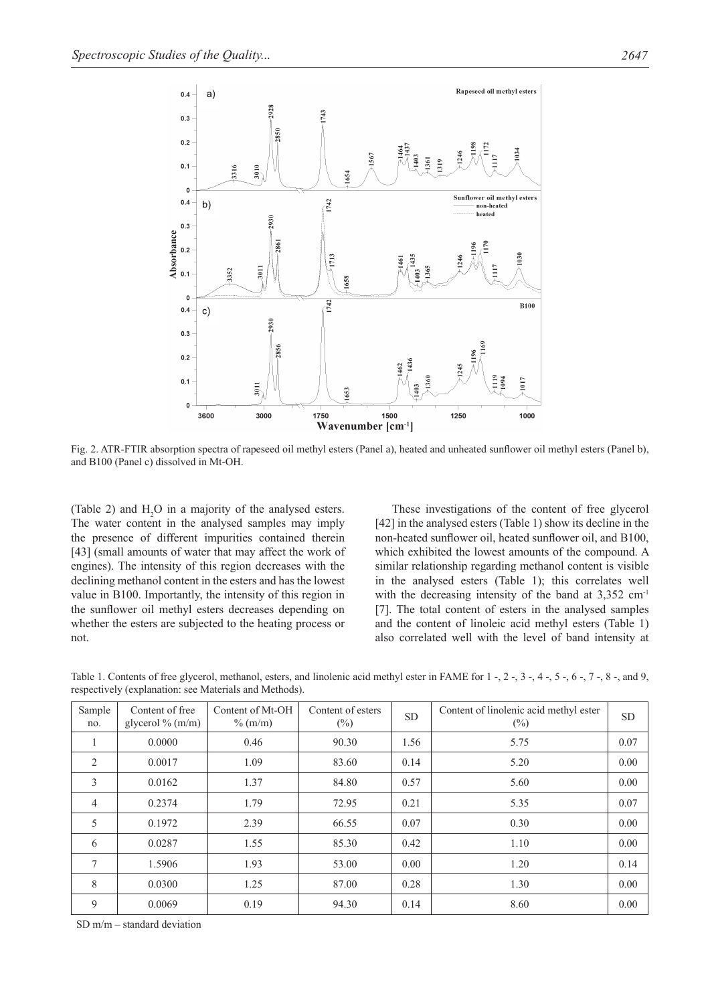

Fig. 2. ATR-FTIR absorption spectra of rapeseed oil methyl esters (Panel a), heated and unheated sunflower oil methyl esters (Panel b), and B100 (Panel c) dissolved in Mt-OH.

(Table 2) and  $H_2O$  in a majority of the analysed esters. The water content in the analysed samples may imply the presence of different impurities contained therein [43] (small amounts of water that may affect the work of engines). The intensity of this region decreases with the declining methanol content in the esters and has the lowest value in B100. Importantly, the intensity of this region in the sunflower oil methyl esters decreases depending on whether the esters are subjected to the heating process or not.

These investigations of the content of free glycerol [42] in the analysed esters (Table 1) show its decline in the non-heated sunflower oil, heated sunflower oil, and B100, which exhibited the lowest amounts of the compound. A similar relationship regarding methanol content is visible in the analysed esters (Table 1); this correlates well with the decreasing intensity of the band at 3,352 cm<sup>-1</sup> [7]. The total content of esters in the analysed samples and the content of linoleic acid methyl esters (Table 1) also correlated well with the level of band intensity at

| Sample<br>no.  | Content of free<br>glycerol % $(m/m)$ | Content of Mt-OH<br>$\%$ (m/m) | Content of esters<br>$(\%)$ | <b>SD</b> | Content of linolenic acid methyl ester<br>$(\%)$ | <b>SD</b> |
|----------------|---------------------------------------|--------------------------------|-----------------------------|-----------|--------------------------------------------------|-----------|
|                | 0.0000                                | 0.46                           | 90.30                       | 1.56      | 5.75                                             | 0.07      |
| $\overline{2}$ | 0.0017                                | 1.09                           | 83.60                       | 0.14      | 5.20                                             | 0.00      |
| 3              | 0.0162                                | 1.37                           | 84.80                       | 0.57      | 5.60                                             | 0.00      |
| $\overline{4}$ | 0.2374                                | 1.79                           | 72.95                       | 0.21      | 5.35                                             | 0.07      |
| 5              | 0.1972                                | 2.39                           | 66.55                       | 0.07      | 0.30                                             | 0.00      |
| 6              | 0.0287                                | 1.55                           | 85.30                       | 0.42      | 1.10                                             | 0.00      |
| 7              | 1.5906                                | 1.93                           | 53.00                       | 0.00      | 1.20                                             | 0.14      |
| 8              | 0.0300                                | 1.25                           | 87.00                       | 0.28      | 1.30                                             | 0.00      |
| 9              | 0.0069                                | 0.19                           | 94.30                       | 0.14      | 8.60                                             | 0.00      |

Table 1. Contents of free glycerol, methanol, esters, and linolenic acid methyl ester in FAME for 1 -, 2 -, 3 -, 4 -, 5 -, 6 -, 7 -, 8 -, and 9, respectively (explanation: see Materials and Methods).

SD m/m – standard deviation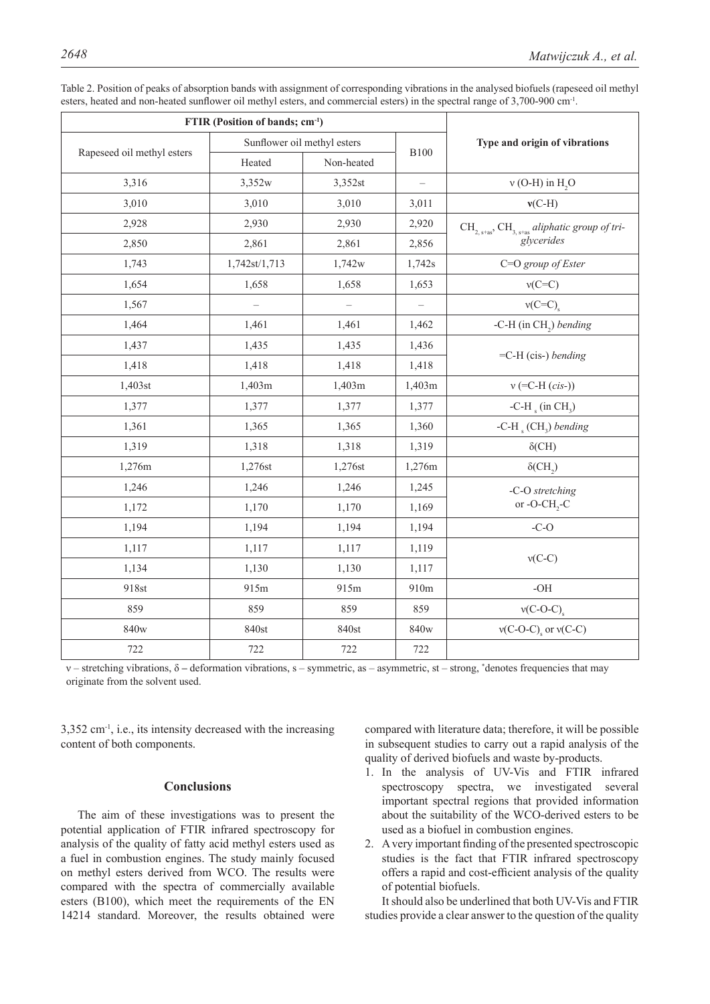| FTIR (Position of bands; cm <sup>-1</sup> ) |                             |                          |                          |                                                                                                  |  |
|---------------------------------------------|-----------------------------|--------------------------|--------------------------|--------------------------------------------------------------------------------------------------|--|
|                                             | Sunflower oil methyl esters |                          | <b>B100</b>              | Type and origin of vibrations                                                                    |  |
| Rapeseed oil methyl esters                  | Heated                      | Non-heated               |                          |                                                                                                  |  |
| 3,316                                       | 3,352w                      | 3,352st                  | $\overline{\phantom{0}}$ | $v$ (O-H) in H <sub>2</sub> O                                                                    |  |
| 3,010                                       | 3,010                       | 3,010                    | 3,011                    | $v(C-H)$                                                                                         |  |
| 2,928                                       | 2,930                       | 2,930                    | 2,920                    | $\text{CH}_{2, \text{s+as}}$ , $\text{CH}_{3, \text{s+as}}$ aliphatic group of trigly<br>cerides |  |
| 2,850                                       | 2,861                       | 2,861                    | 2,856                    |                                                                                                  |  |
| 1,743                                       | 1,742st/1,713               | 1,742w                   | 1,742s                   | C=O group of Ester                                                                               |  |
| 1,654                                       | 1,658                       | 1,658                    | 1,653                    | $v(C=C)$                                                                                         |  |
| 1,567                                       | $\qquad \qquad -$           | $\overline{\phantom{0}}$ | $\overline{\phantom{0}}$ | $v(C=C)$                                                                                         |  |
| 1,464                                       | 1,461                       | 1,461                    | 1,462                    | -C-H (in $CH2$ ) bending                                                                         |  |
| 1,437                                       | 1,435                       | 1,435                    | 1,436                    | $=$ C-H (cis-) bending                                                                           |  |
| 1,418                                       | 1,418                       | 1,418                    | 1,418                    |                                                                                                  |  |
| 1,403st                                     | 1,403m                      | 1,403m                   | 1,403m                   | $v$ (=C-H ( <i>cis</i> -))                                                                       |  |
| 1,377                                       | 1,377                       | 1,377                    | 1,377                    | -C-H $_{\rm s}$ (in CH <sub>3</sub> )                                                            |  |
| 1,361                                       | 1,365                       | 1,365                    | 1,360                    | -C-H $_{s}$ (CH <sub>3</sub> ) bending                                                           |  |
| 1,319                                       | 1,318                       | 1,318                    | 1,319                    | $\delta$ (CH)                                                                                    |  |
| 1,276m                                      | 1,276st                     | 1,276st                  | 1,276m                   | $\delta$ (CH <sub>2</sub> )                                                                      |  |
| 1,246                                       | 1,246                       | 1,246                    | 1,245                    | -C-O stretching                                                                                  |  |
| 1,172                                       | 1,170                       | 1,170                    | 1,169                    | or -O-CH <sub>2</sub> -C                                                                         |  |
| 1,194                                       | 1,194                       | 1,194                    | 1,194                    | $-C-O$                                                                                           |  |
| 1,117                                       | 1,117                       | 1,117                    | 1,119                    | $v(C-C)$                                                                                         |  |
| 1,134                                       | 1,130                       | 1,130                    | 1,117                    |                                                                                                  |  |
| 918st                                       | 915m                        | 915m                     | 910m                     | $-OH$                                                                                            |  |
| 859                                         | 859                         | 859                      | 859                      | $v(C-O-C)$                                                                                       |  |
| 840w                                        | 840st                       | 840st                    | 840w                     | $v(C-O-C)$ , or $v(C-C)$                                                                         |  |
| 722                                         | 722                         | 722                      | 722                      |                                                                                                  |  |

Table 2. Position of peaks of absorption bands with assignment of corresponding vibrations in the analysed biofuels (rapeseed oil methyl esters, heated and non-heated sunflower oil methyl esters, and commercial esters) in the spectral range of 3,700-900 cm-1.

ν – stretching vibrations, δ **–** deformation vibrations, s – symmetric, as – asymmetric, st – strong, \* denotes frequencies that may originate from the solvent used.

 $3.352$  cm<sup>-1</sup>, i.e., its intensity decreased with the increasing content of both components.

#### **Conclusions**

The aim of these investigations was to present the potential application of FTIR infrared spectroscopy for analysis of the quality of fatty acid methyl esters used as a fuel in combustion engines. The study mainly focused on methyl esters derived from WCO. The results were compared with the spectra of commercially available esters (B100), which meet the requirements of the EN 14214 standard. Moreover, the results obtained were compared with literature data; therefore, it will be possible in subsequent studies to carry out a rapid analysis of the quality of derived biofuels and waste by-products.

- 1. In the analysis of UV-Vis and FTIR infrared spectroscopy spectra, we investigated several important spectral regions that provided information about the suitability of the WCO-derived esters to be used as a biofuel in combustion engines.
- 2. A very important finding of the presented spectroscopic studies is the fact that FTIR infrared spectroscopy offers a rapid and cost-efficient analysis of the quality of potential biofuels.

It should also be underlined that both UV-Vis and FTIR studies provide a clear answer to the question of the quality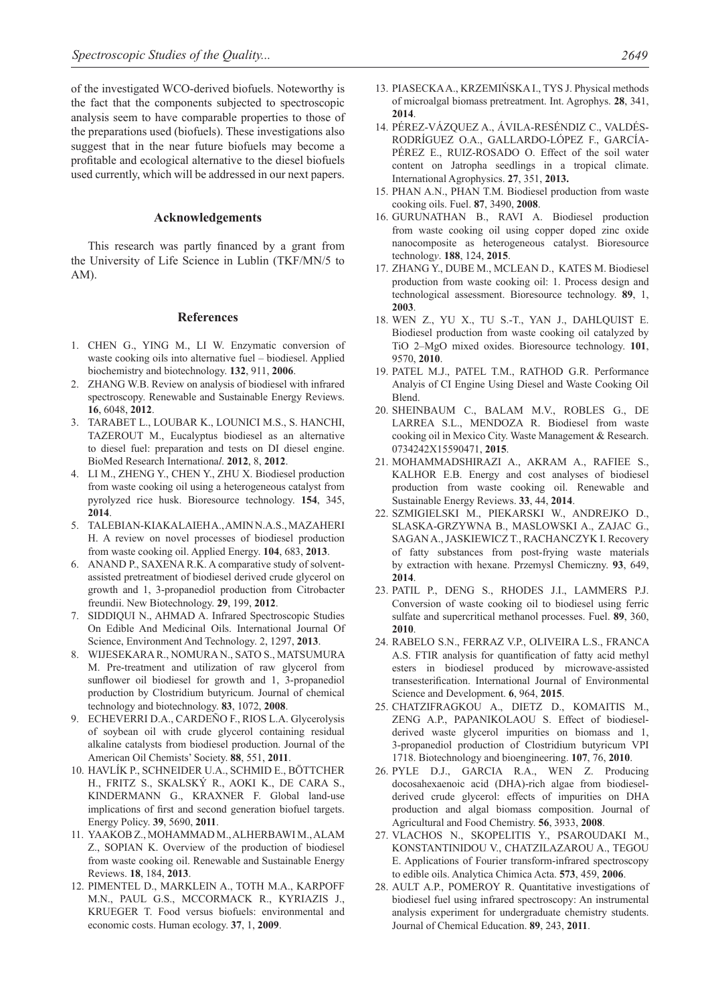of the investigated WCO-derived biofuels. Noteworthy is the fact that the components subjected to spectroscopic analysis seem to have comparable properties to those of the preparations used (biofuels). These investigations also suggest that in the near future biofuels may become a profitable and ecological alternative to the diesel biofuels used currently, which will be addressed in our next papers.

#### **Acknowledgements**

This research was partly financed by a grant from the University of Life Science in Lublin (TKF/MN/5 to AM).

#### **References**

- 1. CHEN G., YING M., LI W. Enzymatic conversion of waste cooking oils into alternative fuel – biodiesel. Applied biochemistry and biotechnology. **132**, 911, **2006**.
- 2. ZHANG W.B. Review on analysis of biodiesel with infrared spectroscopy. Renewable and Sustainable Energy Reviews. **16**, 6048, **2012**.
- 3. TARABET L., LOUBAR K., LOUNICI M.S., S. HANCHI, TAZEROUT M., Eucalyptus biodiesel as an alternative to diesel fuel: preparation and tests on DI diesel engine. BioMed Research Internationa*l*. **2012**, 8, **2012**.
- 4. LI M., ZHENG Y., CHEN Y., ZHU X. Biodiesel production from waste cooking oil using a heterogeneous catalyst from pyrolyzed rice husk. Bioresource technology. **154**, 345, **2014**.
- 5. TALEBIAN-KIAKALAIEH A., AMIN N.A.S., MAZAHERI H. A review on novel processes of biodiesel production from waste cooking oil. Applied Energy. **104**, 683, **2013**.
- 6. ANAND P., SAXENA R.K. A comparative study of solventassisted pretreatment of biodiesel derived crude glycerol on growth and 1, 3-propanediol production from Citrobacter freundii. New Biotechnology. **29**, 199, **2012**.
- 7. SIDDIQUI N., AHMAD A. Infrared Spectroscopic Studies On Edible And Medicinal Oils. International Journal Of Science, Environment And Technology. 2, 1297, **2013**.
- 8. WIJESEKARA R., NOMURA N., SATO S., MATSUMURA M. Pre-treatment and utilization of raw glycerol from sunflower oil biodiesel for growth and 1, 3-propanediol production by Clostridium butyricum. Journal of chemical technology and biotechnology. **83**, 1072, **2008**.
- 9. ECHEVERRI D.A., CARDEÑO F., RIOS L.A. Glycerolysis of soybean oil with crude glycerol containing residual alkaline catalysts from biodiesel production. Journal of the American Oil Chemists' Society. **88**, 551, **2011**.
- 10. HAVLÍK P., SCHNEIDER U.A., SCHMID E., BÖTTCHER H., FRITZ S., SKALSKÝ R., AOKI K., DE CARA S., KINDERMANN G., KRAXNER F. Global land-use implications of first and second generation biofuel targets. Energy Policy. **39**, 5690, **2011**.
- 11. YAAKOB Z., MOHAMMAD M., ALHERBAWI M., ALAM Z., SOPIAN K. Overview of the production of biodiesel from waste cooking oil. Renewable and Sustainable Energy Reviews. **18**, 184, **2013**.
- 12. PIMENTEL D., MARKLEIN A., TOTH M.A., KARPOFF M.N., PAUL G.S., MCCORMACK R., KYRIAZIS J., KRUEGER T. Food versus biofuels: environmental and economic costs. Human ecology. **37**, 1, **2009**.
- 13. PIASECKA A., KRZEMIŃSKA I., TYS J. Physical methods of microalgal biomass pretreatment. Int. Agrophys. **28**, 341, **2014**.
- 14. PÉREZ-VÁZQUEZ A., ÁVILA-RESÉNDIZ C., VALDÉS-RODRÍGUEZ O.A., GALLARDO-LÓPEZ F., GARCÍA-PÉREZ E., RUIZ-ROSADO O. Effect of the soil water content on Jatropha seedlings in a tropical climate. International Agrophysics. **27**, 351, **2013.**
- 15. PHAN A.N., PHAN T.M. Biodiesel production from waste cooking oils. Fuel. **87**, 3490, **2008**.
- 16. GURUNATHAN B., RAVI A. Biodiesel production from waste cooking oil using copper doped zinc oxide nanocomposite as heterogeneous catalyst. Bioresource technolog*y*. **188**, 124, **2015**.
- 17. Zhang Y., Dube M., McLean D., Kates M. Biodiesel production from waste cooking oil: 1. Process design and technological assessment. Bioresource technology. **89**, 1, **2003**.
- 18. WEN Z., YU X., TU S.-T., YAN J., DAHLQUIST E. Biodiesel production from waste cooking oil catalyzed by TiO 2–MgO mixed oxides. Bioresource technology. **101**, 9570, **2010**.
- 19. PATEL M.J., PATEL T.M., RATHOD G.R. Performance Analyis of CI Engine Using Diesel and Waste Cooking Oil Blend.
- 20. SHEINBAUM C., BALAM M.V., ROBLES G., DE LARREA S.L., MENDOZA R. Biodiesel from waste cooking oil in Mexico City. Waste Management & Research. 0734242X15590471, **2015**.
- 21. MOHAMMADSHIRAZI A., AKRAM A., RAFIEE S., KALHOR E.B. Energy and cost analyses of biodiesel production from waste cooking oil. Renewable and Sustainable Energy Reviews. **33**, 44, **2014**.
- 22. SZMIGIELSKI M., PIEKARSKI W., ANDREJKO D., SLASKA-GRZYWNA B., MASLOWSKI A., ZAJAC G., SAGAN A., JASKIEWICZ T., RACHANCZYK I. Recovery of fatty substances from post-frying waste materials by extraction with hexane. Przemysl Chemiczny. **93**, 649, **2014**.
- 23. PATIL P., DENG S., RHODES J.I., LAMMERS P.J. Conversion of waste cooking oil to biodiesel using ferric sulfate and supercritical methanol processes. Fuel. **89**, 360, **2010**.
- 24. RABELO S.N., FERRAZ V.P., OLIVEIRA L.S., FRANCA A.S. FTIR analysis for quantification of fatty acid methyl esters in biodiesel produced by microwave-assisted transesterification. International Journal of Environmental Science and Development. **6**, 964, **2015**.
- 25. CHATZIFRAGKOU A., DIETZ D., KOMAITIS M., ZENG A.P., PAPANIKOLAOU S. Effect of biodieselderived waste glycerol impurities on biomass and 1, 3-propanediol production of Clostridium butyricum VPI 1718. Biotechnology and bioengineering. **107**, 76, **2010**.
- 26. PYLE D.J., GARCIA R.A., WEN Z. Producing docosahexaenoic acid (DHA)-rich algae from biodieselderived crude glycerol: effects of impurities on DHA production and algal biomass composition. Journal of Agricultural and Food Chemistry. **56**, 3933, **2008**.
- 27. VLACHOS N., SKOPELITIS Y., PSAROUDAKI M., KONSTANTINIDOU V., CHATZILAZAROU A., TEGOU E. Applications of Fourier transform-infrared spectroscopy to edible oils. Analytica Chimica Acta. **573**, 459, **2006**.
- 28. AULT A.P., POMEROY R. Quantitative investigations of biodiesel fuel using infrared spectroscopy: An instrumental analysis experiment for undergraduate chemistry students. Journal of Chemical Education. **89**, 243, **2011**.